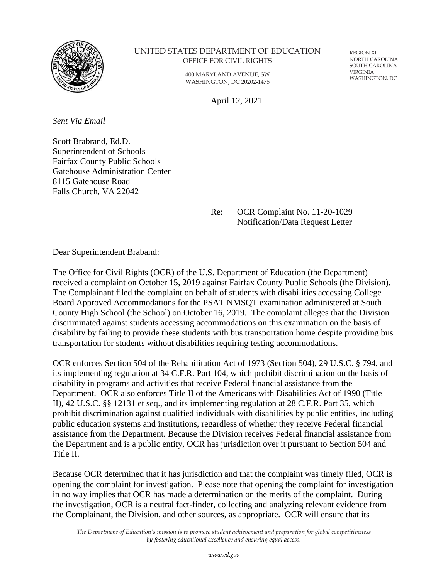

## UNITED STATES DEPARTMENT OF EDUCATION OFFICE FOR CIVIL RIGHTS

400 MARYLAND AVENUE, SW WASHINGTON, DC 20202-1475

REGION XI NORTH CAROLINA SOUTH CAROLINA VIRGINIA WASHINGTON, DC

April 12, 2021

*Sent Via Email*

Scott Brabrand, Ed.D. Superintendent of Schools Fairfax County Public Schools Gatehouse Administration Center 8115 Gatehouse Road Falls Church, VA 22042

> Re: OCR Complaint No. 11-20-1029 Notification/Data Request Letter

Dear Superintendent Braband:

The Office for Civil Rights (OCR) of the U.S. Department of Education (the Department) received a complaint on October 15, 2019 against Fairfax County Public Schools (the Division). The Complainant filed the complaint on behalf of students with disabilities accessing College Board Approved Accommodations for the PSAT NMSQT examination administered at South County High School (the School) on October 16, 2019. The complaint alleges that the Division discriminated against students accessing accommodations on this examination on the basis of disability by failing to provide these students with bus transportation home despite providing bus transportation for students without disabilities requiring testing accommodations.

OCR enforces Section 504 of the Rehabilitation Act of 1973 (Section 504), 29 U.S.C. § 794, and its implementing regulation at 34 C.F.R. Part 104, which prohibit discrimination on the basis of disability in programs and activities that receive Federal financial assistance from the Department. OCR also enforces Title II of the Americans with Disabilities Act of 1990 (Title II), 42 U.S.C. §§ 12131 et seq., and its implementing regulation at 28 C.F.R. Part 35, which prohibit discrimination against qualified individuals with disabilities by public entities, including public education systems and institutions, regardless of whether they receive Federal financial assistance from the Department. Because the Division receives Federal financial assistance from the Department and is a public entity, OCR has jurisdiction over it pursuant to Section 504 and Title II.

Because OCR determined that it has jurisdiction and that the complaint was timely filed, OCR is opening the complaint for investigation. Please note that opening the complaint for investigation in no way implies that OCR has made a determination on the merits of the complaint. During the investigation, OCR is a neutral fact-finder, collecting and analyzing relevant evidence from the Complainant, the Division, and other sources, as appropriate. OCR will ensure that its

*The Department of Education's mission is to promote student achievement and preparation for global competitiveness by fostering educational excellence and ensuring equal access.*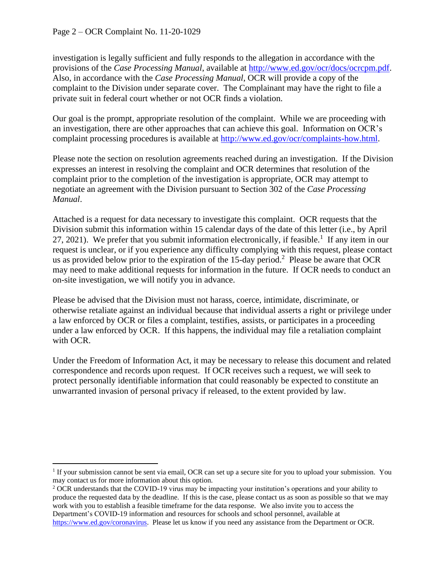investigation is legally sufficient and fully responds to the allegation in accordance with the provisions of the *Case Processing Manual*, available at [http://www.ed.gov/ocr/docs/ocrcpm.pdf.](http://www.ed.gov/ocr/docs/ocrcpm.pdf) Also, in accordance with the *Case Processing Manual*, OCR will provide a copy of the complaint to the Division under separate cover. The Complainant may have the right to file a private suit in federal court whether or not OCR finds a violation.

Our goal is the prompt, appropriate resolution of the complaint. While we are proceeding with an investigation, there are other approaches that can achieve this goal. Information on OCR's complaint processing procedures is available at [http://www.ed.gov/ocr/complaints-how.html.](http://www.ed.gov/ocr/complaints-how.html)

Please note the section on resolution agreements reached during an investigation. If the Division expresses an interest in resolving the complaint and OCR determines that resolution of the complaint prior to the completion of the investigation is appropriate, OCR may attempt to negotiate an agreement with the Division pursuant to Section 302 of the *Case Processing Manual*.

Attached is a request for data necessary to investigate this complaint. OCR requests that the Division submit this information within 15 calendar days of the date of this letter (i.e., by April  $27, 2021$ ). We prefer that you submit information electronically, if feasible.<sup>1</sup> If any item in our request is unclear, or if you experience any difficulty complying with this request, please contact us as provided below prior to the expiration of the 15-day period.<sup>2</sup> Please be aware that OCR may need to make additional requests for information in the future. If OCR needs to conduct an on-site investigation, we will notify you in advance.

Please be advised that the Division must not harass, coerce, intimidate, discriminate, or otherwise retaliate against an individual because that individual asserts a right or privilege under a law enforced by OCR or files a complaint, testifies, assists, or participates in a proceeding under a law enforced by OCR. If this happens, the individual may file a retaliation complaint with OCR.

Under the Freedom of Information Act, it may be necessary to release this document and related correspondence and records upon request. If OCR receives such a request, we will seek to protect personally identifiable information that could reasonably be expected to constitute an unwarranted invasion of personal privacy if released, to the extent provided by law.

<sup>&</sup>lt;sup>1</sup> If your submission cannot be sent via email, OCR can set up a secure site for you to upload your submission. You may contact us for more information about this option.

<sup>&</sup>lt;sup>2</sup> OCR understands that the COVID-19 virus may be impacting your institution's operations and your ability to produce the requested data by the deadline. If this is the case, please contact us as soon as possible so that we may work with you to establish a feasible timeframe for the data response. We also invite you to access the Department's COVID-19 information and resources for schools and school personnel, available at [https://www.ed.gov/coronavirus.](https://www.ed.gov/coronavirus) Please let us know if you need any assistance from the Department or OCR.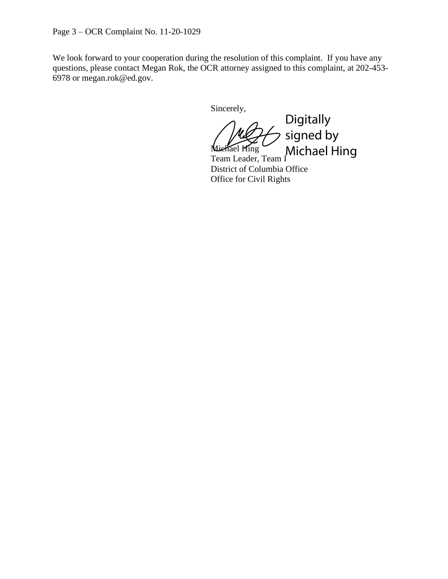Page 3 – OCR Complaint No. 11-20-1029

We look forward to your cooperation during the resolution of this complaint. If you have any questions, please contact Megan Rok, the OCR attorney assigned to this complaint, at 202-453- 6978 or megan.rok@ed.gov.

Sincerely,

Miehael Hing Team Leader, Team I Michael HingDigitally signed by

District of Columbia Office Office for Civil Rights